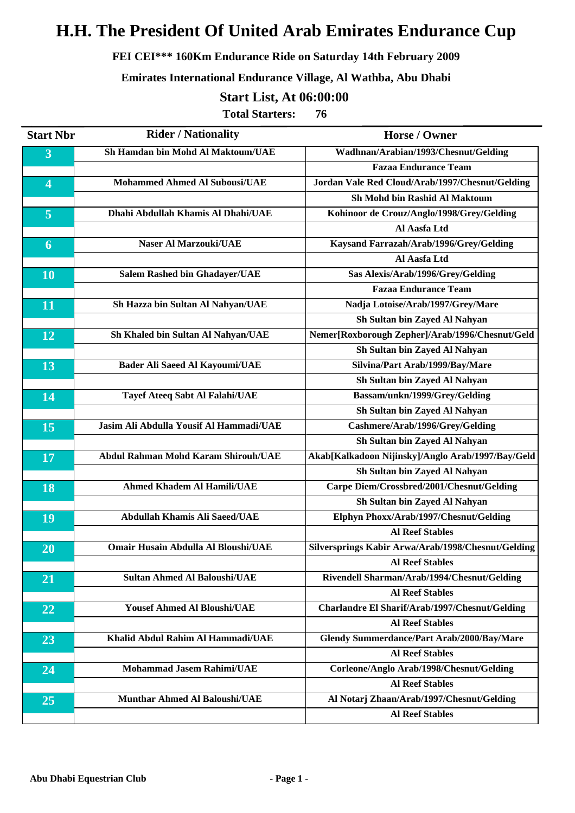#### **FEI CEI\*\*\* 160Km Endurance Ride on Saturday 14th February 2009**

#### **Emirates International Endurance Village, Al Wathba, Abu Dhabi**

### **Start List, At 06:00:00**

| <b>Start Nbr</b>        | <b>Rider / Nationality</b>                 | <b>Horse / Owner</b>                               |
|-------------------------|--------------------------------------------|----------------------------------------------------|
| 3                       | Sh Hamdan bin Mohd Al Maktoum/UAE          | Wadhnan/Arabian/1993/Chesnut/Gelding               |
|                         |                                            | <b>Fazaa Endurance Team</b>                        |
| $\overline{\mathbf{4}}$ | <b>Mohammed Ahmed Al Subousi/UAE</b>       | Jordan Vale Red Cloud/Arab/1997/Chesnut/Gelding    |
|                         |                                            | Sh Mohd bin Rashid Al Maktoum                      |
| $\overline{5}$          | Dhahi Abdullah Khamis Al Dhahi/UAE         | Kohinoor de Crouz/Anglo/1998/Grey/Gelding          |
|                         |                                            | Al Aasfa Ltd                                       |
| 6                       | <b>Naser Al Marzouki/UAE</b>               | Kaysand Farrazah/Arab/1996/Grey/Gelding            |
|                         |                                            | Al Aasfa Ltd                                       |
| 10                      | <b>Salem Rashed bin Ghadayer/UAE</b>       | Sas Alexis/Arab/1996/Grey/Gelding                  |
|                         |                                            | <b>Fazaa Endurance Team</b>                        |
| 11                      | Sh Hazza bin Sultan Al Nahyan/UAE          | Nadja Lotoise/Arab/1997/Grey/Mare                  |
|                         |                                            | Sh Sultan bin Zayed Al Nahyan                      |
| 12                      | Sh Khaled bin Sultan Al Nahyan/UAE         | Nemer[Roxborough Zepher]/Arab/1996/Chesnut/Geld    |
|                         |                                            | Sh Sultan bin Zayed Al Nahyan                      |
| 13                      | <b>Bader Ali Saeed Al Kayoumi/UAE</b>      | Silvina/Part Arab/1999/Bay/Mare                    |
|                         |                                            | Sh Sultan bin Zayed Al Nahyan                      |
| 14                      | <b>Tayef Ateeq Sabt Al Falahi/UAE</b>      | Bassam/unkn/1999/Grey/Gelding                      |
|                         |                                            | Sh Sultan bin Zayed Al Nahyan                      |
| 15                      | Jasim Ali Abdulla Yousif Al Hammadi/UAE    | Cashmere/Arab/1996/Grey/Gelding                    |
|                         |                                            | Sh Sultan bin Zayed Al Nahyan                      |
| 17                      | <b>Abdul Rahman Mohd Karam Shirouh/UAE</b> | Akab[Kalkadoon Nijinsky]/Anglo Arab/1997/Bay/Geld  |
|                         |                                            | Sh Sultan bin Zayed Al Nahyan                      |
| 18                      | <b>Ahmed Khadem Al Hamili/UAE</b>          | Carpe Diem/Crossbred/2001/Chesnut/Gelding          |
|                         |                                            | Sh Sultan bin Zayed Al Nahyan                      |
| 19                      | <b>Abdullah Khamis Ali Saeed/UAE</b>       | Elphyn Phoxx/Arab/1997/Chesnut/Gelding             |
|                         |                                            | <b>Al Reef Stables</b>                             |
| 20                      | <b>Omair Husain Abdulla Al Bloushi/UAE</b> | Silversprings Kabir Arwa/Arab/1998/Chesnut/Gelding |
|                         |                                            | <b>Al Reef Stables</b>                             |
| 21                      | <b>Sultan Ahmed Al Baloushi/UAE</b>        | Rivendell Sharman/Arab/1994/Chesnut/Gelding        |
|                         |                                            | <b>Al Reef Stables</b>                             |
| 22                      | <b>Yousef Ahmed Al Bloushi/UAE</b>         | Charlandre El Sharif/Arab/1997/Chesnut/Gelding     |
|                         |                                            | <b>Al Reef Stables</b>                             |
| 23                      | Khalid Abdul Rahim Al Hammadi/UAE          | <b>Glendy Summerdance/Part Arab/2000/Bay/Mare</b>  |
|                         |                                            | <b>Al Reef Stables</b>                             |
| 24                      | <b>Mohammad Jasem Rahimi/UAE</b>           | Corleone/Anglo Arab/1998/Chesnut/Gelding           |
|                         |                                            | <b>Al Reef Stables</b>                             |
| $\overline{25}$         | <b>Munthar Ahmed Al Baloushi/UAE</b>       | Al Notarj Zhaan/Arab/1997/Chesnut/Gelding          |
|                         |                                            | <b>Al Reef Stables</b>                             |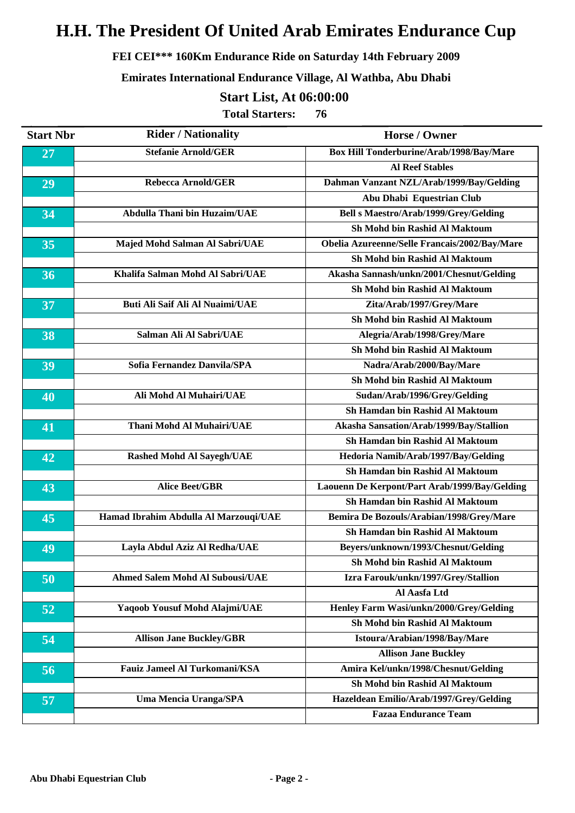#### **FEI CEI\*\*\* 160Km Endurance Ride on Saturday 14th February 2009**

**Emirates International Endurance Village, Al Wathba, Abu Dhabi**

#### **Start List, At 06:00:00**

| <b>Start Nbr</b> | <b>Rider / Nationality</b>             | <b>Horse / Owner</b>                          |
|------------------|----------------------------------------|-----------------------------------------------|
| 27               | <b>Stefanie Arnold/GER</b>             | Box Hill Tonderburine/Arab/1998/Bay/Mare      |
|                  |                                        | <b>Al Reef Stables</b>                        |
| 29               | <b>Rebecca Arnold/GER</b>              | Dahman Vanzant NZL/Arab/1999/Bay/Gelding      |
|                  |                                        | Abu Dhabi Equestrian Club                     |
| 34               | <b>Abdulla Thani bin Huzaim/UAE</b>    | Bell s Maestro/Arab/1999/Grey/Gelding         |
|                  |                                        | Sh Mohd bin Rashid Al Maktoum                 |
| 35               | Majed Mohd Salman Al Sabri/UAE         | Obelia Azureenne/Selle Francais/2002/Bay/Mare |
|                  |                                        | Sh Mohd bin Rashid Al Maktoum                 |
| 36               | Khalifa Salman Mohd Al Sabri/UAE       | Akasha Sannash/unkn/2001/Chesnut/Gelding      |
|                  |                                        | Sh Mohd bin Rashid Al Maktoum                 |
| 37               | <b>Buti Ali Saif Ali Al Nuaimi/UAE</b> | Zita/Arab/1997/Grey/Mare                      |
|                  |                                        | <b>Sh Mohd bin Rashid Al Maktoum</b>          |
| 38               | Salman Ali Al Sabri/UAE                | Alegria/Arab/1998/Grey/Mare                   |
|                  |                                        | Sh Mohd bin Rashid Al Maktoum                 |
| 39               | Sofia Fernandez Danvila/SPA            | Nadra/Arab/2000/Bay/Mare                      |
|                  |                                        | Sh Mohd bin Rashid Al Maktoum                 |
| 40               | Ali Mohd Al Muhairi/UAE                | Sudan/Arab/1996/Grey/Gelding                  |
|                  |                                        | Sh Hamdan bin Rashid Al Maktoum               |
| 41               | <b>Thani Mohd Al Muhairi/UAE</b>       | Akasha Sansation/Arab/1999/Bay/Stallion       |
|                  |                                        | Sh Hamdan bin Rashid Al Maktoum               |
| 42               | <b>Rashed Mohd Al Sayegh/UAE</b>       | Hedoria Namib/Arab/1997/Bay/Gelding           |
|                  |                                        | Sh Hamdan bin Rashid Al Maktoum               |
| 43               | <b>Alice Beet/GBR</b>                  | Laouenn De Kerpont/Part Arab/1999/Bay/Gelding |
|                  |                                        | Sh Hamdan bin Rashid Al Maktoum               |
| 45               | Hamad Ibrahim Abdulla Al Marzouqi/UAE  | Bemira De Bozouls/Arabian/1998/Grey/Mare      |
|                  |                                        | <b>Sh Hamdan bin Rashid Al Maktoum</b>        |
| 49               | Layla Abdul Aziz Al Redha/UAE          | Beyers/unknown/1993/Chesnut/Gelding           |
|                  |                                        | Sh Mohd bin Rashid Al Maktoum                 |
| 50               | <b>Ahmed Salem Mohd Al Subousi/UAE</b> | Izra Farouk/unkn/1997/Grey/Stallion           |
|                  |                                        | Al Aasfa Ltd                                  |
| 52               | Yaqoob Yousuf Mohd Alajmi/UAE          | Henley Farm Wasi/unkn/2000/Grey/Gelding       |
|                  |                                        | Sh Mohd bin Rashid Al Maktoum                 |
| 54               | <b>Allison Jane Buckley/GBR</b>        | Istoura/Arabian/1998/Bay/Mare                 |
|                  |                                        | <b>Allison Jane Buckley</b>                   |
| 56               | <b>Fauiz Jameel Al Turkomani/KSA</b>   | Amira Kel/unkn/1998/Chesnut/Gelding           |
|                  |                                        | Sh Mohd bin Rashid Al Maktoum                 |
| 57               | <b>Uma Mencia Uranga/SPA</b>           | Hazeldean Emilio/Arab/1997/Grey/Gelding       |
|                  |                                        | <b>Fazaa Endurance Team</b>                   |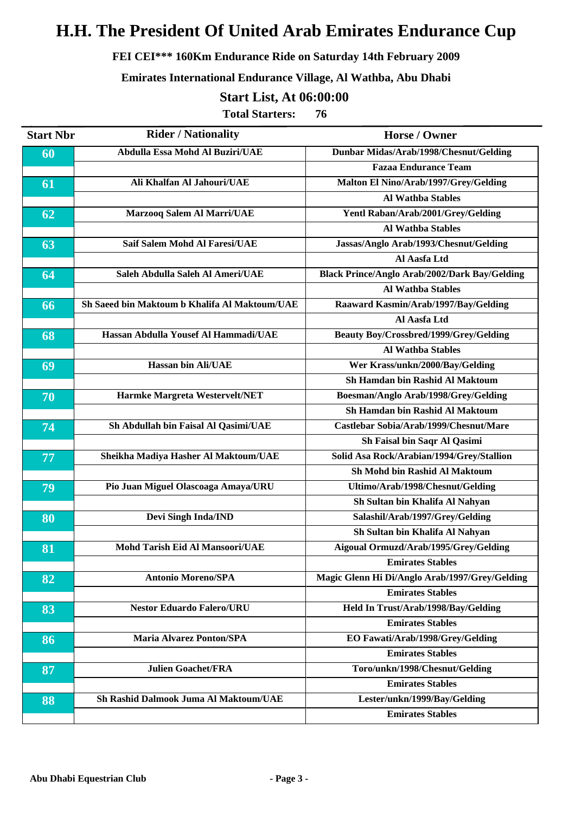#### **FEI CEI\*\*\* 160Km Endurance Ride on Saturday 14th February 2009**

#### **Emirates International Endurance Village, Al Wathba, Abu Dhabi**

#### **Start List, At 06:00:00**

| <b>Start Nbr</b> | <b>Rider / Nationality</b>                    | Horse / Owner                                        |
|------------------|-----------------------------------------------|------------------------------------------------------|
| 60               | Abdulla Essa Mohd Al Buziri/UAE               | Dunbar Midas/Arab/1998/Chesnut/Gelding               |
|                  |                                               | <b>Fazaa Endurance Team</b>                          |
| 61               | Ali Khalfan Al Jahouri/UAE                    | Malton El Nino/Arab/1997/Grey/Gelding                |
|                  |                                               | <b>Al Wathba Stables</b>                             |
| 62               | Marzooq Salem Al Marri/UAE                    | Yentl Raban/Arab/2001/Grey/Gelding                   |
|                  |                                               | <b>Al Wathba Stables</b>                             |
| 63               | <b>Saif Salem Mohd Al Faresi/UAE</b>          | Jassas/Anglo Arab/1993/Chesnut/Gelding               |
|                  |                                               | Al Aasfa Ltd                                         |
| 64               | Saleh Abdulla Saleh Al Ameri/UAE              | <b>Black Prince/Anglo Arab/2002/Dark Bay/Gelding</b> |
|                  |                                               | <b>Al Wathba Stables</b>                             |
| 66               | Sh Saeed bin Maktoum b Khalifa Al Maktoum/UAE | Raaward Kasmin/Arab/1997/Bay/Gelding                 |
|                  |                                               | Al Aasfa Ltd                                         |
| 68               | Hassan Abdulla Yousef Al Hammadi/UAE          | <b>Beauty Boy/Crossbred/1999/Grey/Gelding</b>        |
|                  |                                               | <b>Al Wathba Stables</b>                             |
| 69               | <b>Hassan bin Ali/UAE</b>                     | Wer Krass/unkn/2000/Bay/Gelding                      |
|                  |                                               | Sh Hamdan bin Rashid Al Maktoum                      |
| 70               | Harmke Margreta Westervelt/NET                | Boesman/Anglo Arab/1998/Grey/Gelding                 |
|                  |                                               | <b>Sh Hamdan bin Rashid Al Maktoum</b>               |
| 74               | Sh Abdullah bin Faisal Al Qasimi/UAE          | Castlebar Sobia/Arab/1999/Chesnut/Mare               |
|                  |                                               | Sh Faisal bin Saqr Al Qasimi                         |
| 77               | Sheikha Madiya Hasher Al Maktoum/UAE          | Solid Asa Rock/Arabian/1994/Grey/Stallion            |
|                  |                                               | Sh Mohd bin Rashid Al Maktoum                        |
| 79               | Pio Juan Miguel Olascoaga Amaya/URU           | Ultimo/Arab/1998/Chesnut/Gelding                     |
|                  |                                               | Sh Sultan bin Khalifa Al Nahyan                      |
| 80               | Devi Singh Inda/IND                           | Salashil/Arab/1997/Grey/Gelding                      |
|                  |                                               | Sh Sultan bin Khalifa Al Nahyan                      |
| 81               | <b>Mohd Tarish Eid Al Mansoori/UAE</b>        | Aigoual Ormuzd/Arab/1995/Grey/Gelding                |
|                  |                                               | <b>Emirates Stables</b>                              |
| 82               | <b>Antonio Moreno/SPA</b>                     | Magic Glenn Hi Di/Anglo Arab/1997/Grey/Gelding       |
|                  |                                               | <b>Emirates Stables</b>                              |
| 83               | <b>Nestor Eduardo Falero/URU</b>              | Held In Trust/Arab/1998/Bay/Gelding                  |
|                  |                                               | <b>Emirates Stables</b>                              |
| 86               | <b>Maria Alvarez Ponton/SPA</b>               | EO Fawati/Arab/1998/Grey/Gelding                     |
|                  |                                               | <b>Emirates Stables</b>                              |
| 87               | <b>Julien Goachet/FRA</b>                     | Toro/unkn/1998/Chesnut/Gelding                       |
|                  |                                               | <b>Emirates Stables</b>                              |
| 88               | Sh Rashid Dalmook Juma Al Maktoum/UAE         | Lester/unkn/1999/Bay/Gelding                         |
|                  |                                               | <b>Emirates Stables</b>                              |